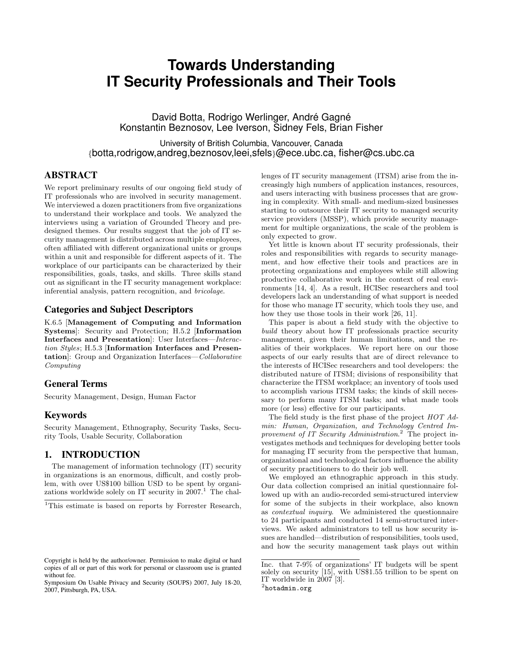# **Towards Understanding IT Security Professionals and Their Tools**

David Botta, Rodrigo Werlinger, André Gagné Konstantin Beznosov, Lee Iverson, Sidney Fels, Brian Fisher

University of British Columbia, Vancouver, Canada {botta,rodrigow,andreg,beznosov,leei,sfels}@ece.ubc.ca, fisher@cs.ubc.ca

# ABSTRACT

We report preliminary results of our ongoing field study of IT professionals who are involved in security management. We interviewed a dozen practitioners from five organizations to understand their workplace and tools. We analyzed the interviews using a variation of Grounded Theory and predesigned themes. Our results suggest that the job of IT security management is distributed across multiple employees, often affiliated with different organizational units or groups within a unit and responsible for different aspects of it. The workplace of our participants can be characterized by their responsibilities, goals, tasks, and skills. Three skills stand out as significant in the IT security management workplace: inferential analysis, pattern recognition, and bricolage.

# Categories and Subject Descriptors

K.6.5 [Management of Computing and Information Systems]: Security and Protection; H.5.2 [Information Interfaces and Presentation]: User Interfaces—Interaction Styles; H.5.3 [Information Interfaces and Presentation]: Group and Organization Interfaces—Collaborative Computing

# General Terms

Security Management, Design, Human Factor

## Keywords

Security Management, Ethnography, Security Tasks, Security Tools, Usable Security, Collaboration

# 1. INTRODUCTION

The management of information technology (IT) security in organizations is an enormous, difficult, and costly problem, with over US\$100 billion USD to be spent by organizations worldwide solely on IT security in  $2007<sup>1</sup>$  $2007<sup>1</sup>$  $2007<sup>1</sup>$ . The challenges of IT security management (ITSM) arise from the increasingly high numbers of application instances, resources, and users interacting with business processes that are growing in complexity. With small- and medium-sized businesses starting to outsource their IT security to managed security service providers (MSSP), which provide security management for multiple organizations, the scale of the problem is only expected to grow.

Yet little is known about IT security professionals, their roles and responsibilities with regards to security management, and how effective their tools and practices are in protecting organizations and employees while still allowing productive collaborative work in the context of real environments [\[14,](#page-10-0) [4\]](#page-9-0). As a result, HCISec researchers and tool developers lack an understanding of what support is needed for those who manage IT security, which tools they use, and how they use those tools in their work [\[26,](#page-10-1) [11\]](#page-10-2).

This paper is about a field study with the objective to build theory about how IT professionals practice security management, given their human limitations, and the realities of their workplaces. We report here on our those aspects of our early results that are of direct relevance to the interests of HCISec researchers and tool developers: the distributed nature of ITSM; divisions of responsibility that characterize the ITSM workplace; an inventory of tools used to accomplish various ITSM tasks; the kinds of skill necessary to perform many ITSM tasks; and what made tools more (or less) effective for our participants.

The field study is the first phase of the project HOT Admin: Human, Organization, and Technology Centred Im-provement of IT Security Administration.<sup>[2](#page-0-1)</sup> The project investigates methods and techniques for developing better tools for managing IT security from the perspective that human, organizational and technological factors influence the ability of security practitioners to do their job well.

We employed an ethnographic approach in this study. Our data collection comprised an initial questionnaire followed up with an audio-recorded semi-structured interview for some of the subjects in their workplace, also known as contextual inquiry. We administered the questionnaire to 24 participants and conducted 14 semi-structured interviews. We asked administrators to tell us how security issues are handled—distribution of responsibilities, tools used, and how the security management task plays out within

<span id="page-0-0"></span><sup>&</sup>lt;sup>1</sup>This estimate is based on reports by Forrester Research,

Copyright is held by the author/owner. Permission to make digital or hard copies of all or part of this work for personal or classroom use is granted without fee.

Symposium On Usable Privacy and Security (SOUPS) 2007, July 18-20, 2007, Pittsburgh, PA, USA.

Inc. that 7-9% of organizations' IT budgets will be spent solely on security [\[15\]](#page-10-3), with US\$1.55 trillion to be spent on IT worldwide in 2007 [\[3\]](#page-9-1).

<span id="page-0-1"></span> $^2$ <hotadmin.org>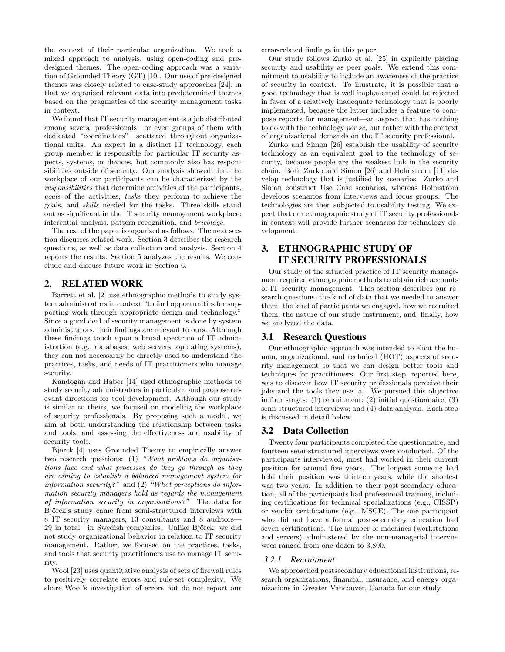the context of their particular organization. We took a mixed approach to analysis, using open-coding and predesigned themes. The open-coding approach was a variation of Grounded Theory (GT) [\[10\]](#page-10-4). Our use of pre-designed themes was closely related to case-study approaches [\[24\]](#page-10-5), in that we organized relevant data into predetermined themes based on the pragmatics of the security management tasks in context.

We found that IT security management is a job distributed among several professionals—or even groups of them with dedicated "coordinators"—scattered throughout organizational units. An expert in a distinct IT technology, each group member is responsible for particular IT security aspects, systems, or devices, but commonly also has responsibilities outside of security. Our analysis showed that the workplace of our participants can be characterized by the responsibilities that determine activities of the participants, goals of the activities, tasks they perform to achieve the goals, and skills needed for the tasks. Three skills stand out as significant in the IT security management workplace: inferential analysis, pattern recognition, and bricolage.

The rest of the paper is organized as follows. The next section discusses related work. Section [3](#page-1-0) describes the research questions, as well as data collection and analysis. Section [4](#page-3-0) reports the results. Section [5](#page-8-0) analyzes the results. We conclude and discuss future work in Section [6.](#page-9-2)

# 2. RELATED WORK

Barrett et al. [\[2\]](#page-9-3) use ethnographic methods to study system administrators in context "to find opportunities for supporting work through appropriate design and technology." Since a good deal of security management is done by system administrators, their findings are relevant to ours. Although these findings touch upon a broad spectrum of IT administration (e.g., databases, web servers, operating systems), they can not necessarily be directly used to understand the practices, tasks, and needs of IT practitioners who manage security.

Kandogan and Haber [\[14\]](#page-10-0) used ethnographic methods to study security administrators in particular, and propose relevant directions for tool development. Although our study is similar to theirs, we focused on modeling the workplace of security professionals. By proposing such a model, we aim at both understanding the relationship between tasks and tools, and assessing the effectiveness and usability of security tools.

Björck [\[4\]](#page-9-0) uses Grounded Theory to empirically answer two research questions: (1) "What problems do organisations face and what processes do they go through as they are aiming to establish a balanced management system for information security?" and  $(2)$  "What perceptions do information security managers hold as regards the management of information security in organisations?" The data for Björck's study came from semi-structured interviews with 8 IT security managers, 13 consultants and 8 auditors—  $29$  in total—in Swedish companies. Unlike Björck, we did not study organizational behavior in relation to IT security management. Rather, we focused on the practices, tasks, and tools that security practitioners use to manage IT security.

Wool [\[23\]](#page-10-6) uses quantitative analysis of sets of firewall rules to positively correlate errors and rule-set complexity. We share Wool's investigation of errors but do not report our

error-related findings in this paper.

Our study follows Zurko et al. [\[25\]](#page-10-7) in explicitly placing security and usability as peer goals. We extend this commitment to usability to include an awareness of the practice of security in context. To illustrate, it is possible that a good technology that is well implemented could be rejected in favor of a relatively inadequate technology that is poorly implemented, because the latter includes a feature to compose reports for management—an aspect that has nothing to do with the technology per se, but rather with the context of organizational demands on the IT security professional.

Zurko and Simon [\[26\]](#page-10-1) establish the usability of security technology as an equivalent goal to the technology of security, because people are the weakest link in the security chain. Both Zurko and Simon [\[26\]](#page-10-1) and Holmstrom [\[11\]](#page-10-2) develop technology that is justified by scenarios. Zurko and Simon construct Use Case scenarios, whereas Holmstrom develops scenarios from interviews and focus groups. The technologies are then subjected to usability testing. We expect that our ethnographic study of IT security professionals in context will provide further scenarios for technology development.

# <span id="page-1-0"></span>3. ETHNOGRAPHIC STUDY OF IT SECURITY PROFESSIONALS

Our study of the situated practice of IT security management required ethnographic methods to obtain rich accounts of IT security management. This section describes our research questions, the kind of data that we needed to answer them, the kind of participants we engaged, how we recruited them, the nature of our study instrument, and, finally, how we analyzed the data.

## 3.1 Research Questions

Our ethnographic approach was intended to elicit the human, organizational, and technical (HOT) aspects of security management so that we can design better tools and techniques for practitioners. Our first step, reported here, was to discover how IT security professionals perceive their jobs and the tools they use [\[5\]](#page-10-8). We pursued this objective in four stages: (1) recruitment; (2) initial questionnaire; (3) semi-structured interviews; and (4) data analysis. Each step is discussed in detail below.

# 3.2 Data Collection

Twenty four participants completed the questionnaire, and fourteen semi-structured interviews were conducted. Of the participants interviewed, most had worked in their current position for around five years. The longest someone had held their position was thirteen years, while the shortest was two years. In addition to their post-secondary education, all of the participants had professional training, including certifications for technical specializations (e.g., CISSP) or vendor certifications (e.g., MSCE). The one participant who did not have a formal post-secondary education had seven certifications. The number of machines (workstations and servers) administered by the non-managerial interviewees ranged from one dozen to 3,800.

#### *3.2.1 Recruitment*

We approached postsecondary educational institutions, research organizations, financial, insurance, and energy organizations in Greater Vancouver, Canada for our study.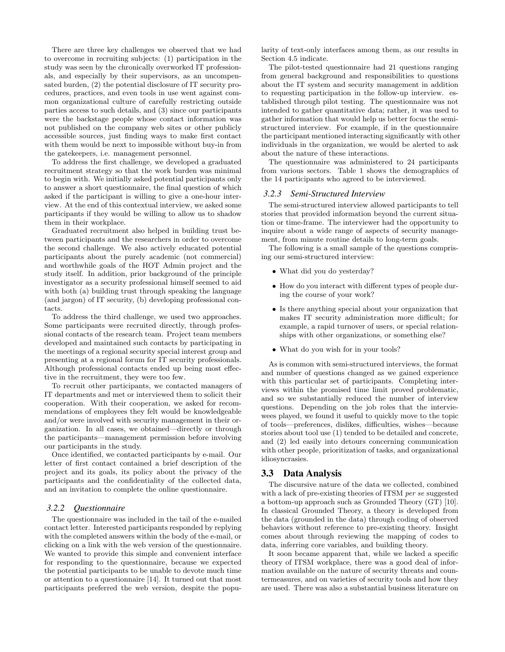There are three key challenges we observed that we had to overcome in recruiting subjects: (1) participation in the study was seen by the chronically overworked IT professionals, and especially by their supervisors, as an uncompensated burden, (2) the potential disclosure of IT security procedures, practices, and even tools in use went against common organizational culture of carefully restricting outside parties access to such details, and (3) since our participants were the backstage people whose contact information was not published on the company web sites or other publicly accessible sources, just finding ways to make first contact with them would be next to impossible without buy-in from the gatekeepers, i.e. management personnel.

To address the first challenge, we developed a graduated recruitment strategy so that the work burden was minimal to begin with. We initially asked potential participants only to answer a short questionnaire, the final question of which asked if the participant is willing to give a one-hour interview. At the end of this contextual interview, we asked some participants if they would be willing to allow us to shadow them in their workplace.

Graduated recruitment also helped in building trust between participants and the researchers in order to overcome the second challenge. We also actively educated potential participants about the purely academic (not commercial) and worthwhile goals of the HOT Admin project and the study itself. In addition, prior background of the principle investigator as a security professional himself seemed to aid with both (a) building trust through speaking the language (and jargon) of IT security, (b) developing professional contacts.

To address the third challenge, we used two approaches. Some participants were recruited directly, through professional contacts of the research team. Project team members developed and maintained such contacts by participating in the meetings of a regional security special interest group and presenting at a regional forum for IT security professionals. Although professional contacts ended up being most effective in the recruitment, they were too few.

To recruit other participants, we contacted managers of IT departments and met or interviewed them to solicit their cooperation. With their cooperation, we asked for recommendations of employees they felt would be knowledgeable and/or were involved with security management in their organization. In all cases, we obtained—directly or through the participants—management permission before involving our participants in the study.

Once identified, we contacted participants by e-mail. Our letter of first contact contained a brief description of the project and its goals, its policy about the privacy of the participants and the confidentiality of the collected data, and an invitation to complete the online questionnaire.

### *3.2.2 Questionnaire*

The questionnaire was included in the tail of the e-mailed contact letter. Interested participants responded by replying with the completed answers within the body of the e-mail, or clicking on a link with the web version of the questionnaire. We wanted to provide this simple and convenient interface for responding to the questionnaire, because we expected the potential participants to be unable to devote much time or attention to a questionnaire [\[14\]](#page-10-0). It turned out that most participants preferred the web version, despite the popularity of text-only interfaces among them, as our results in Section [4.5](#page-6-0) indicate.

The pilot-tested questionnaire had 21 questions ranging from general background and responsibilities to questions about the IT system and security management in addition to requesting participation in the follow-up interview. established through pilot testing. The questionnaire was not intended to gather quantitative data; rather, it was used to gather information that would help us better focus the semistructured interview. For example, if in the questionnaire the participant mentioned interacting significantly with other individuals in the organization, we would be alerted to ask about the nature of these interactions.

The questionnaire was administered to 24 participants from various sectors. Table [1](#page-3-1) shows the demographics of the 14 participants who agreed to be interviewed.

#### *3.2.3 Semi-Structured Interview*

The semi-structured interview allowed participants to tell stories that provided information beyond the current situation or time-frame. The interviewer had the opportunity to inquire about a wide range of aspects of security management, from minute routine details to long-term goals.

The following is a small sample of the questions comprising our semi-structured interview:

- What did you do yesterday?
- How do you interact with different types of people during the course of your work?
- Is there anything special about your organization that makes IT security administration more difficult; for example, a rapid turnover of users, or special relationships with other organizations, or something else?
- What do you wish for in your tools?

As is common with semi-structured interviews, the format and number of questions changed as we gained experience with this particular set of participants. Completing interviews within the promised time limit proved problematic, and so we substantially reduced the number of interview questions. Depending on the job roles that the interviewees played, we found it useful to quickly move to the topic of tools—preferences, dislikes, difficulties, wishes—because stories about tool use (1) tended to be detailed and concrete, and (2) led easily into detours concerning communication with other people, prioritization of tasks, and organizational idiosyncrasies.

#### 3.3 Data Analysis

The discursive nature of the data we collected, combined with a lack of pre-existing theories of ITSM per se suggested a bottom-up approach such as Grounded Theory (GT) [\[10\]](#page-10-4). In classical Grounded Theory, a theory is developed from the data (grounded in the data) through coding of observed behaviors without reference to pre-existing theory. Insight comes about through reviewing the mapping of codes to data, inferring core variables, and building theory.

It soon became apparent that, while we lacked a specific theory of ITSM workplace, there was a good deal of information available on the nature of security threats and countermeasures, and on varieties of security tools and how they are used. There was also a substantial business literature on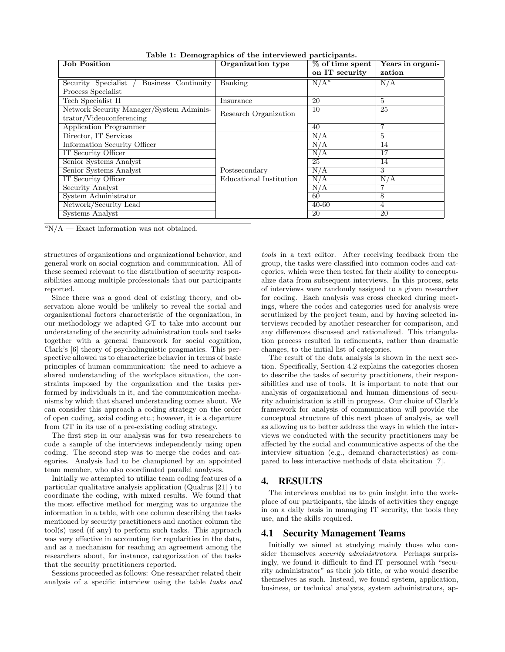| <b>Job Position</b>                        | Organization type                        | $%$ of time spent | Years in organi- |
|--------------------------------------------|------------------------------------------|-------------------|------------------|
|                                            |                                          | on IT security    | zation           |
| Security Specialist<br>Business Continuity | Banking                                  | $N/A^a$           | N/A              |
| Process Specialist                         |                                          |                   |                  |
| Tech Specialist II                         | Insurance                                | 20                | $\overline{5}$   |
| Network Security Manager/System Adminis-   | Research Organization                    | 10                | 25               |
| trator/Videoconferencing                   |                                          |                   |                  |
| <b>Application Programmer</b>              |                                          | 40                |                  |
| Director, IT Services                      |                                          | N/A               | 5                |
| Information Security Officer               |                                          | N/A               | 14               |
| IT Security Officer                        |                                          | N/A               | 17               |
| Senior Systems Analyst                     |                                          | 25                | 14               |
| Senior Systems Analyst                     | Postsecondary<br>Educational Institution | N/A               | 3                |
| IT Security Officer                        |                                          | N/A               | N/A              |
| Security Analyst                           |                                          | N/A               |                  |
| System Administrator                       |                                          | 60                | 8                |
| Network/Security Lead                      |                                          | $40 - 60$         | 4                |
| <b>Systems Analyst</b>                     |                                          | 20                | 20               |

<span id="page-3-1"></span>Table 1: Demographics of the interviewed participants.

<span id="page-3-2"></span> $\rm{N/A - Exact\ information\ was\ not\ obtained.}$ 

structures of organizations and organizational behavior, and general work on social cognition and communication. All of these seemed relevant to the distribution of security responsibilities among multiple professionals that our participants reported.

Since there was a good deal of existing theory, and observation alone would be unlikely to reveal the social and organizational factors characteristic of the organization, in our methodology we adapted GT to take into account our understanding of the security administration tools and tasks together with a general framework for social cognition, Clark's [\[6\]](#page-10-9) theory of psycholinguistic pragmatics. This perspective allowed us to characterize behavior in terms of basic principles of human communication: the need to achieve a shared understanding of the workplace situation, the constraints imposed by the organization and the tasks performed by individuals in it, and the communication mechanisms by which that shared understanding comes about. We can consider this approach a coding strategy on the order of open coding, axial coding etc.; however, it is a departure from GT in its use of a pre-existing coding strategy.

The first step in our analysis was for two researchers to code a sample of the interviews independently using open coding. The second step was to merge the codes and categories. Analysis had to be championed by an appointed team member, who also coordinated parallel analyses.

Initially we attempted to utilize team coding features of a particular qualitative analysis application (Qualrus [\[21\]](#page-10-10) ) to coordinate the coding, with mixed results. We found that the most effective method for merging was to organize the information in a table, with one column describing the tasks mentioned by security practitioners and another column the tool(s) used (if any) to perform such tasks. This approach was very effective in accounting for regularities in the data, and as a mechanism for reaching an agreement among the researchers about, for instance, categorization of the tasks that the security practitioners reported.

Sessions proceeded as follows: One researcher related their analysis of a specific interview using the table tasks and

tools in a text editor. After receiving feedback from the group, the tasks were classified into common codes and categories, which were then tested for their ability to conceptualize data from subsequent interviews. In this process, sets of interviews were randomly assigned to a given researcher for coding. Each analysis was cross checked during meetings, where the codes and categories used for analysis were scrutinized by the project team, and by having selected interviews recoded by another researcher for comparison, and any differences discussed and rationalized. This triangulation process resulted in refinements, rather than dramatic changes, to the initial list of categories.

The result of the data analysis is shown in the next section. Specifically, Section [4.2](#page-4-0) explains the categories chosen to describe the tasks of security practitioners, their responsibilities and use of tools. It is important to note that our analysis of organizational and human dimensions of security administration is still in progress. Our choice of Clark's framework for analysis of communication will provide the conceptual structure of this next phase of analysis, as well as allowing us to better address the ways in which the interviews we conducted with the security practitioners may be affected by the social and communicative aspects of the the interview situation (e.g., demand characteristics) as compared to less interactive methods of data elicitation [\[7\]](#page-10-11).

# <span id="page-3-0"></span>4. RESULTS

The interviews enabled us to gain insight into the workplace of our participants, the kinds of activities they engage in on a daily basis in managing IT security, the tools they use, and the skills required.

# 4.1 Security Management Teams

Initially we aimed at studying mainly those who consider themselves *security administrators*. Perhaps surprisingly, we found it difficult to find IT personnel with "security administrator" as their job title, or who would describe themselves as such. Instead, we found system, application, business, or technical analysts, system administrators, ap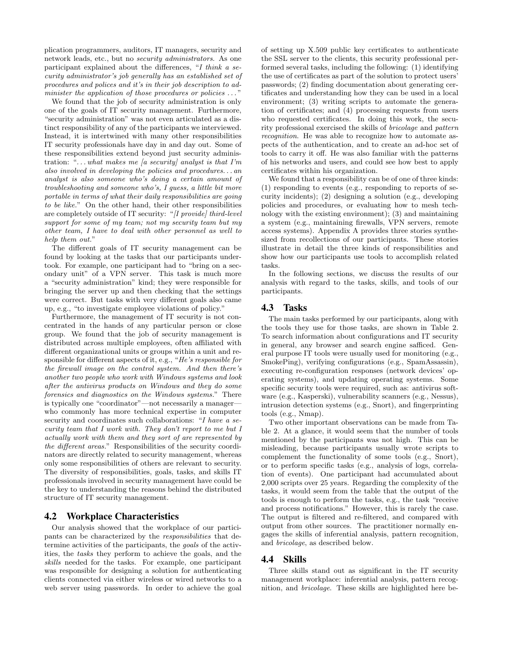plication programmers, auditors, IT managers, security and network leads, etc., but no security administrators. As one participant explained about the differences, "I think a security administrator's job generally has an established set of procedures and polices and it's in their job description to administer the application of those procedures or policies ..."

We found that the job of security administration is only one of the goals of IT security management. Furthermore, "security administration" was not even articulated as a distinct responsibility of any of the participants we interviewed. Instead, it is intertwined with many other responsibilities IT security professionals have day in and day out. Some of these responsibilities extend beyond just security administration: "... what makes me  $[a$  security analyst is that I'm also involved in developing the policies and procedures. . . an analyst is also someone who's doing a certain amount of troubleshooting and someone who's, I guess, a little bit more portable in terms of what their daily responsibilities are going to be like." On the other hand, their other responsibilities are completely outside of IT security: "[I provide] third-level support for some of my team; not my security team but my other team, I have to deal with other personnel as well to help them out."

The different goals of IT security management can be found by looking at the tasks that our participants undertook. For example, one participant had to "bring on a secondary unit" of a VPN server. This task is much more a "security administration" kind; they were responsible for bringing the server up and then checking that the settings were correct. But tasks with very different goals also came up, e.g., "to investigate employee violations of policy."

Furthermore, the management of IT security is not concentrated in the hands of any particular person or close group. We found that the job of security management is distributed across multiple employees, often affiliated with different organizational units or groups within a unit and responsible for different aspects of it, e.g., "He's responsible for the firewall image on the control system. And then there's another two people who work with Windows systems and look after the antivirus products on Windows and they do some forensics and diagnostics on the Windows systems." There is typically one "coordinator"—not necessarily a manager who commonly has more technical expertise in computer security and coordinates such collaborations: "I have a security team that I work with. They don't report to me but I actually work with them and they sort of are represented by the different areas." Responsibilities of the security coordinators are directly related to security management, whereas only some responsibilities of others are relevant to security. The diversity of responsibilities, goals, tasks, and skills IT professionals involved in security management have could be the key to understanding the reasons behind the distributed structure of IT security management.

# <span id="page-4-0"></span>4.2 Workplace Characteristics

Our analysis showed that the workplace of our participants can be characterized by the responsibilities that determine activities of the participants, the goals of the activities, the tasks they perform to achieve the goals, and the skills needed for the tasks. For example, one participant was responsible for designing a solution for authenticating clients connected via either wireless or wired networks to a web server using passwords. In order to achieve the goal

of setting up X.509 public key certificates to authenticate the SSL server to the clients, this security professional performed several tasks, including the following: (1) identifying the use of certificates as part of the solution to protect users' passwords; (2) finding documentation about generating certificates and understanding how they can be used in a local environment; (3) writing scripts to automate the generation of certificates; and (4) processing requests from users who requested certificates. In doing this work, the security professional exercised the skills of bricolage and pattern recognition. He was able to recognize how to automate aspects of the authentication, and to create an ad-hoc set of tools to carry it off. He was also familiar with the patterns of his networks and users, and could see how best to apply certificates within his organization.

We found that a responsibility can be of one of three kinds: (1) responding to events (e.g., responding to reports of security incidents); (2) designing a solution (e.g., developing policies and procedures, or evaluating how to mesh technology with the existing environment); (3) and maintaining a system (e.g., maintaining firewalls, VPN servers, remote access systems). Appendix [A](#page-10-12) provides three stories synthesized from recollections of our participants. These stories illustrate in detail the three kinds of responsibilities and show how our participants use tools to accomplish related tasks.

In the following sections, we discuss the results of our analysis with regard to the tasks, skills, and tools of our participants.

# 4.3 Tasks

The main tasks performed by our participants, along with the tools they use for those tasks, are shown in Table [2.](#page-5-0) To search information about configurations and IT security in general, any browser and search engine safficed. General purpose IT tools were usually used for monitoring (e.g., SmokePing), verifying configurations (e.g., SpamAssassin), executing re-configuration responses (network devices' operating systems), and updating operating systems. Some specific security tools were required, such as: antivirus software (e.g., Kasperski), vulnerability scanners (e.g., Nessus), intrusion detection systems (e.g., Snort), and fingerprinting tools (e.g., Nmap).

Two other important observations can be made from Table [2.](#page-5-0) At a glance, it would seem that the number of tools mentioned by the participants was not high. This can be misleading, because participants usually wrote scripts to complement the functionality of some tools (e.g., Snort), or to perform specific tasks (e.g., analysis of logs, correlation of events). One participant had accumulated about 2,000 scripts over 25 years. Regarding the complexity of the tasks, it would seem from the table that the output of the tools is enough to perform the tasks, e.g., the task "receive and process notifications." However, this is rarely the case. The output is filtered and re-filtered, and compared with output from other sources. The practitioner normally engages the skills of inferential analysis, pattern recognition, and bricolage, as described below.

## 4.4 Skills

Three skills stand out as significant in the IT security management workplace: inferential analysis, pattern recognition, and bricolage. These skills are highlighted here be-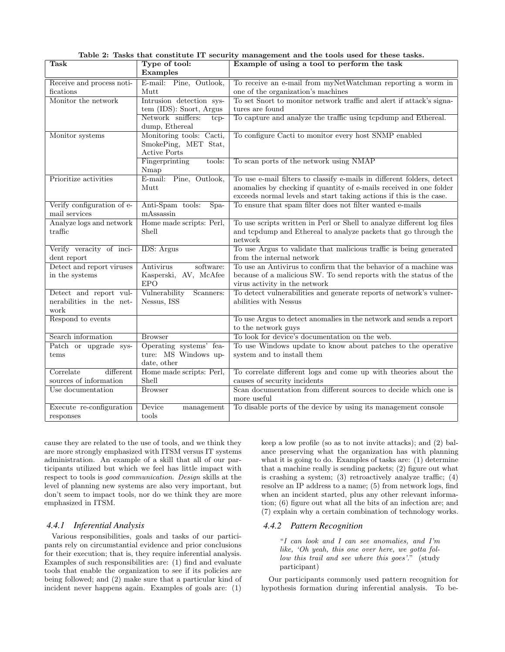<span id="page-5-0"></span>

| <b>Task</b>                | Type of tool:                  | Example of using a tool to perform the task                                                                                                |
|----------------------------|--------------------------------|--------------------------------------------------------------------------------------------------------------------------------------------|
|                            | <b>Examples</b>                |                                                                                                                                            |
| Receive and process noti-  | E-mail: Pine, Outlook,         | To receive an e-mail from myNetWatchman reporting a worm in                                                                                |
| fications                  | Mutt                           | one of the organization's machines                                                                                                         |
| Monitor the network        | Intrusion detection sys-       | To set Snort to monitor network traffic and alert if attack's signa-                                                                       |
|                            | tem (IDS): Snort, Argus        | tures are found                                                                                                                            |
|                            | Network sniffers:<br>tcp-      | To capture and analyze the traffic using tcpdump and Ethereal.                                                                             |
|                            | dump, Ethereal                 |                                                                                                                                            |
| Monitor systems            | Monitoring tools: Cacti,       | To configure Cacti to monitor every host SNMP enabled                                                                                      |
|                            | SmokePing, MET Stat,           |                                                                                                                                            |
|                            | <b>Active Ports</b>            |                                                                                                                                            |
|                            | Fingerprinting<br>tools:       | To scan ports of the network using NMAP                                                                                                    |
|                            | Nmap                           |                                                                                                                                            |
| Prioritize activities      | E-mail: Pine, Outlook,<br>Mutt | To use e-mail filters to classify e-mails in different folders, detect                                                                     |
|                            |                                | anomalies by checking if quantity of e-mails received in one folder<br>exceeds normal levels and start taking actions if this is the case. |
| Verify configuration of e- | Anti-Spam tools:<br>$Spa-$     | To ensure that spam filter does not filter wanted e-mails                                                                                  |
| mail services              | mAssassin                      |                                                                                                                                            |
| Analyze logs and network   | Home made scripts: Perl,       | To use scripts written in Perl or Shell to analyze different log files                                                                     |
| $\text{traffic}$           | Shell                          | and tcpdump and Ethereal to analyze packets that go through the                                                                            |
|                            |                                | network                                                                                                                                    |
| Verify veracity of inci-   | <b>IDS</b> : Argus             | To use Argus to validate that malicious traffic is being generated                                                                         |
| dent report                |                                | from the internal network                                                                                                                  |
| Detect and report viruses  | Antivirus<br>software:         | To use an Antivirus to confirm that the behavior of a machine was                                                                          |
| in the systems             | Kasperski, AV, McAfee          | because of a malicious SW. To send reports with the status of the                                                                          |
|                            | <b>EPO</b>                     | virus activity in the network                                                                                                              |
| Detect and report vul-     | Vulnerability<br>Scanners:     | To detect vulnerabilities and generate reports of network's vulner-                                                                        |
| nerabilities in the net-   | Nessus, ISS                    | abilities with Nessus                                                                                                                      |
| work                       |                                |                                                                                                                                            |
| Respond to events          |                                | To use Argus to detect anomalies in the network and sends a report                                                                         |
| Search information         | <b>Browser</b>                 | to the network guys<br>To look for device's documentation on the web.                                                                      |
| Patch or upgrade sys-      | Operating systems' fea-        | To use Windows update to know about patches to the operative                                                                               |
| tems                       | ture: MS Windows up-           | system and to install them                                                                                                                 |
|                            | date, other                    |                                                                                                                                            |
| different<br>Correlate     | Home made scripts: Perl,       | To correlate different logs and come up with theories about the                                                                            |
| sources of information     | Shell                          | causes of security incidents                                                                                                               |
| Use documentation          | <b>Browser</b>                 | Scan documentation from different sources to decide which one is                                                                           |
|                            |                                | more useful                                                                                                                                |
| Execute re-configuration   | Device<br>management           | To disable ports of the device by using its management console                                                                             |
| responses                  | tools                          |                                                                                                                                            |

cause they are related to the use of tools, and we think they are more strongly emphasized with ITSM versus IT systems administration. An example of a skill that all of our participants utilized but which we feel has little impact with respect to tools is good communication. Design skills at the level of planning new systems are also very important, but don't seem to impact tools, nor do we think they are more emphasized in ITSM.

#### *4.4.1 Inferential Analysis*

Various responsibilities, goals and tasks of our participants rely on circumstantial evidence and prior conclusions for their execution; that is, they require inferential analysis. Examples of such responsibilities are: (1) find and evaluate tools that enable the organization to see if its policies are being followed; and (2) make sure that a particular kind of incident never happens again. Examples of goals are: (1) keep a low profile (so as to not invite attacks); and (2) balance preserving what the organization has with planning what it is going to do. Examples of tasks are: (1) determine that a machine really is sending packets; (2) figure out what is crashing a system; (3) retroactively analyze traffic; (4) resolve an IP address to a name; (5) from network logs, find when an incident started, plus any other relevant information; (6) figure out what all the bits of an infection are; and (7) explain why a certain combination of technology works.

# *4.4.2 Pattern Recognition*

"I can look and I can see anomalies, and I'm like, 'Oh yeah, this one over here, we gotta follow this trail and see where this goes'." (study participant)

Our participants commonly used pattern recognition for hypothesis formation during inferential analysis. To be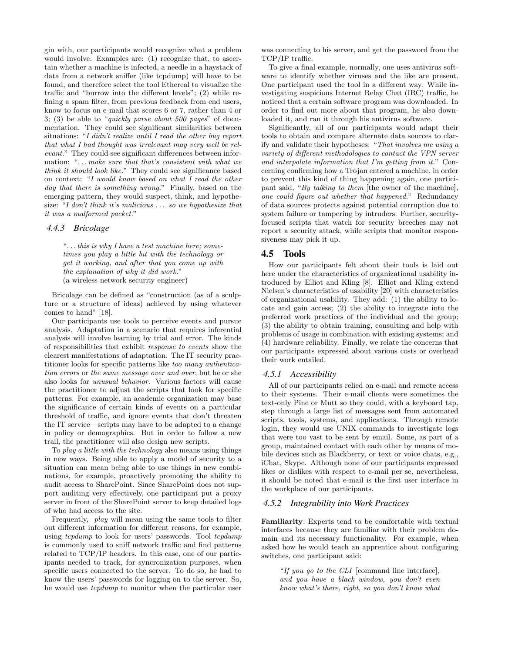gin with, our participants would recognize what a problem would involve. Examples are: (1) recognize that, to ascertain whether a machine is infected, a needle in a haystack of data from a network sniffer (like tcpdump) will have to be found, and therefore select the tool Ethereal to visualize the traffic and "burrow into the different levels"; (2) while refining a spam filter, from previous feedback from end users, know to focus on e-mail that scores 6 or 7, rather than 4 or 3; (3) be able to "quickly parse about 500 pages" of documentation. They could see significant similarities between situations: "I didn't realize until I read the other bug report that what I had thought was irrelevant may very well be relevant." They could see significant differences between information: ". . . make sure that that's consistent with what we think it should look like." They could see significance based on context: "I would know based on what I read the other day that there is something wrong." Finally, based on the emerging pattern, they would suspect, think, and hypothesize: "I don't think it's malicious  $\ldots$  so we hypothesize that it was a malformed packet."

#### *4.4.3 Bricolage*

"... this is why I have a test machine here; sometimes you play a little bit with the technology or get it working, and after that you come up with the explanation of why it did work." (a wireless network security engineer)

Bricolage can be defined as "construction (as of a sculpture or a structure of ideas) achieved by using whatever comes to hand" [\[18\]](#page-10-13).

Our participants use tools to perceive events and pursue analysis. Adaptation in a scenario that requires inferential analysis will involve learning by trial and error. The kinds of responsibilities that exhibit response to events show the clearest manifestations of adaptation. The IT security practitioner looks for specific patterns like too many authentication errors or the same message over and over, but he or she also looks for unusual behavior. Various factors will cause the practitioner to adjust the scripts that look for specific patterns. For example, an academic organization may base the significance of certain kinds of events on a particular threshold of traffic, and ignore events that don't threaten the IT service—scripts may have to be adapted to a change in policy or demographics. But in order to follow a new trail, the practitioner will also design new scripts.

To play a little with the technology also means using things in new ways. Being able to apply a model of security to a situation can mean being able to use things in new combinations, for example, proactively promoting the ability to audit access to SharePoint. Since SharePoint does not support auditing very effectively, one participant put a proxy server in front of the SharePoint server to keep detailed logs of who had access to the site.

Frequently, play will mean using the same tools to filter out different information for different reasons, for example, using tcpdump to look for users' passwords. Tool tcpdump is commonly used to sniff network traffic and find patterns related to TCP/IP headers. In this case, one of our participants needed to track, for syncronization purposes, when specific users connected to the server. To do so, he had to know the users' passwords for logging on to the server. So, he would use tcpdump to monitor when the particular user

was connecting to his server, and get the password from the TCP/IP traffic.

To give a final example, normally, one uses antivirus software to identify whether viruses and the like are present. One participant used the tool in a different way. While investigating suspicious Internet Relay Chat (IRC) traffic, he noticed that a certain software program was downloaded. In order to find out more about that program, he also downloaded it, and ran it through his antivirus software.

Significantly, all of our participants would adapt their tools to obtain and compare alternate data sources to clarify and validate their hypotheses: "That involves me using a variety of different methodologies to contact the VPN server and interpolate information that I'm getting from it." Concerning confirming how a Trojan entered a machine, in order to prevent this kind of thing happening again, one participant said, "By talking to them [the owner of the machine], one could figure out whether that happened." Redundancy of data sources protects against potential corruption due to system failure or tampering by intruders. Further, securityfocused scripts that watch for security breeches may not report a security attack, while scripts that monitor responsiveness may pick it up.

## <span id="page-6-0"></span>4.5 Tools

How our participants felt about their tools is laid out here under the characteristics of organizational usability introduced by Elliot and Kling [\[8\]](#page-10-14). Elliot and Kling extend Nielsen's characteristics of usability [\[20\]](#page-10-15) with characteristics of organizational usability. They add: (1) the ability to locate and gain access; (2) the ability to integrate into the preferred work practices of the individual and the group; (3) the ability to obtain training, consulting and help with problems of usage in combination with existing systems; and (4) hardware reliability. Finally, we relate the concerns that our participants expressed about various costs or overhead their work entailed.

#### *4.5.1 Accessibility*

All of our participants relied on e-mail and remote access to their systems. Their e-mail clients were sometimes the text-only Pine or Mutt so they could, with a keyboard tap, step through a large list of messages sent from automated scripts, tools, systems, and applications. Through remote login, they would use UNIX commands to investigate logs that were too vast to be sent by email. Some, as part of a group, maintained contact with each other by means of mobile devices such as Blackberry, or text or voice chats, e.g., iChat, Skype. Although none of our participants expressed likes or dislikes with respect to e-mail per se, nevertheless, it should be noted that e-mail is the first user interface in the workplace of our participants.

#### *4.5.2 Integrability into Work Practices*

Familiarity: Experts tend to be comfortable with textual interfaces because they are familiar with their problem domain and its necessary functionality. For example, when asked how he would teach an apprentice about configuring switches, one participant said:

"If you go to the  $CLI$  [command line interface], and you have a black window, you don't even know what's there, right, so you don't know what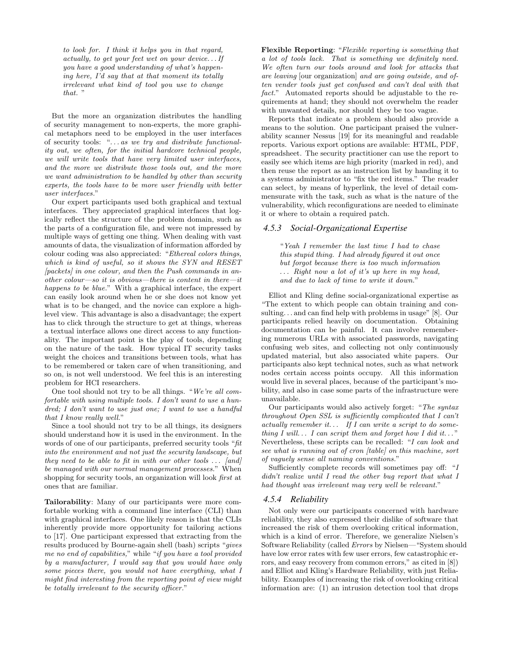to look for. I think it helps you in that regard, actually, to get your feet wet on your device. . . If you have a good understanding of what's happening here, I'd say that at that moment its totally irrelevant what kind of tool you use to change that. "

But the more an organization distributes the handling of security management to non-experts, the more graphical metaphors need to be employed in the user interfaces of security tools: ". . . as we try and distribute functionality out, we often, for the initial hardcore technical people, we will write tools that have very limited user interfaces, and the more we distribute those tools out, and the more we want administration to be handled by other than security experts, the tools have to be more user friendly with better user interfaces."

Our expert participants used both graphical and textual interfaces. They appreciated graphical interfaces that logically reflect the structure of the problem domain, such as the parts of a configuration file, and were not impressed by multiple ways of getting one thing. When dealing with vast amounts of data, the visualization of information afforded by colour coding was also appreciated: "Ethereal colors things, which is kind of useful, so it shows the SYN and RESET  $[packets]$  in one colour, and then the Push commands in another colour—so it is obvious—there is content in there—it happens to be blue." With a graphical interface, the expert can easily look around when he or she does not know yet what is to be changed, and the novice can explore a highlevel view. This advantage is also a disadvantage; the expert has to click through the structure to get at things, whereas a textual interface allows one direct access to any functionality. The important point is the play of tools, depending on the nature of the task. How typical IT security tasks weight the choices and transitions between tools, what has to be remembered or taken care of when transitioning, and so on, is not well understood. We feel this is an interesting problem for HCI researchers.

One tool should not try to be all things. "We're all comfortable with using multiple tools. I don't want to use a hundred; I don't want to use just one; I want to use a handful that I know really well."

Since a tool should not try to be all things, its designers should understand how it is used in the environment. In the words of one of our participants, preferred security tools "fit into the environment and not just the security landscape, but they need to be able to fit in with our other tools  $\ldots$  [and] be managed with our normal management processes." When shopping for security tools, an organization will look *first* at ones that are familiar.

Tailorability: Many of our participants were more comfortable working with a command line interface (CLI) than with graphical interfaces. One likely reason is that the CLIs inherently provide more opportunity for tailoring actions to [\[17\]](#page-10-16). One participant expressed that extracting from the results produced by Bourne-again shell (bash) scripts "gives me no end of capabilities," while "if you have a tool provided by a manufacturer, I would say that you would have only some pieces there, you would not have everything, what I might find interesting from the reporting point of view might be totally irrelevant to the security officer."

Flexible Reporting: "Flexible reporting is something that a lot of tools lack. That is something we definitely need. We often turn our tools around and look for attacks that are leaving [our organization] and are going outside, and often vender tools just get confused and can't deal with that fact." Automated reports should be adjustable to the requirements at hand; they should not overwhelm the reader with unwanted details, nor should they be too vague.

Reports that indicate a problem should also provide a means to the solution. One participant praised the vulnerability scanner Nessus [\[19\]](#page-10-17) for its meaningful and readable reports. Various export options are available: HTML, PDF, spreadsheet. The security practitioner can use the report to easily see which items are high priority (marked in red), and then reuse the report as an instruction list by handing it to a systems administrator to "fix the red items." The reader can select, by means of hyperlink, the level of detail commensurate with the task, such as what is the nature of the vulnerability, which reconfigurations are needed to eliminate it or where to obtain a required patch.

#### *4.5.3 Social-Organizational Expertise*

"Yeah I remember the last time I had to chase this stupid thing. I had already figured it out once but forgot because there is too much information  $\ldots$  Right now a lot of it's up here in my head, and due to lack of time to write it down."

Elliot and Kling define social-organizational expertise as "The extent to which people can obtain training and consulting. . . and can find help with problems in usage" [\[8\]](#page-10-14). Our participants relied heavily on documentation. Obtaining documentation can be painful. It can involve remembering numerous URLs with associated passwords, navigating confusing web sites, and collecting not only continuously updated material, but also associated white papers. Our participants also kept technical notes, such as what network nodes certain access points occupy. All this information would live in several places, because of the participant's mobility, and also in case some parts of the infrastructure were unavailable.

Our participants would also actively forget: "The syntax throughout Open SSL is sufficiently complicated that I can't actually remember it... If  $I$  can write a script to do something  $I$  will...  $I$  can script them and forget how  $I$  did it..." Nevertheless, these scripts can be recalled: "I can look and see what is running out of cron [table] on this machine, sort of vaguely sense all naming conventions."

Sufficiently complete records will sometimes pay off: "I didn't realize until I read the other bug report that what I had thought was irrelevant may very well be relevant."

#### *4.5.4 Reliability*

Not only were our participants concerned with hardware reliability, they also expressed their dislike of software that increased the risk of them overlooking critical information, which is a kind of error. Therefore, we generalize Nielsen's Software Reliability (called Errors by Nielsen—"System should have low error rates with few user errors, few catastrophic errors, and easy recovery from common errors," as cited in [\[8\]](#page-10-14)) and Elliot and Kling's Hardware Reliability, with just Reliability. Examples of increasing the risk of overlooking critical information are: (1) an intrusion detection tool that drops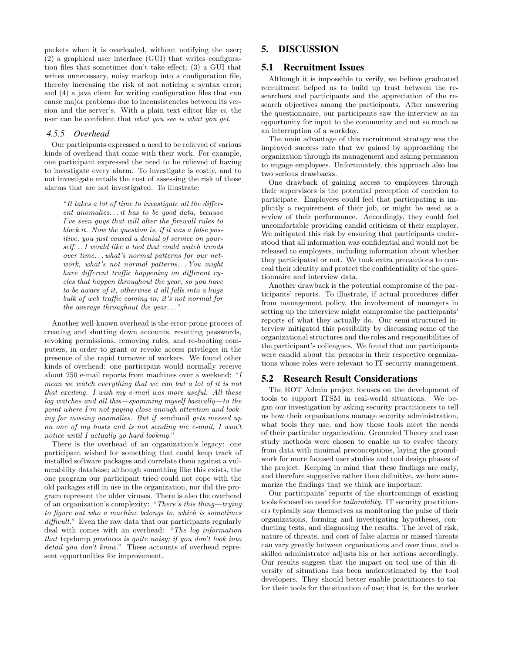packets when it is overloaded, without notifying the user; (2) a graphical user interface (GUI) that writes configuration files that sometimes don't take effect; (3) a GUI that writes unnecessary, noisy markup into a configuration file, thereby increasing the risk of not noticing a syntax error; and (4) a java client for writing configuration files that can cause major problems due to inconsistencies between its version and the server's. With a plain text editor like  $vi$ , the user can be confident that what you see is what you get.

# *4.5.5 Overhead*

Our participants expressed a need to be relieved of various kinds of overhead that come with their work. For example, one participant expressed the need to be relieved of having to investigate every alarm. To investigate is costly, and to not investigate entails the cost of assessing the risk of those alarms that are not investigated. To illustrate:

"It takes a lot of time to investigate all the different anomalies. . . it has to be good data, because I've seen guys that will alter the firewall rules to block it. Now the question is, if it was a false positive, you just caused a denial of service on yourself. . . I would like a tool that could watch trends over time. . . what's normal patterns for our network, what's not normal patterns... You might have different traffic happening on different cycles that happen throughout the year, so you have to be aware of it, otherwise it all falls into a huge bulk of web traffic coming in; it's not normal for the average throughout the year..."

Another well-known overhead is the error-prone process of creating and shutting down accounts, resetting passwords, revoking permissions, removing rules, and re-booting computers, in order to grant or revoke access privileges in the presence of the rapid turnover of workers. We found other kinds of overhead: one participant would normally receive about 250 e-mail reports from machines over a weekend: "I mean we watch everything that we can but a lot of it is not that exciting. I wish my e-mail was more useful. All these log watches and all this—spamming myself basically—to the point where I'm not paying close enough attention and looking for missing anomalies. But if sendmail gets messed up on one of my hosts and is not sending me e-mail, I won't notice until I actually go hard looking."

There is the overhead of an organization's legacy: one participant wished for something that could keep track of installed software packages and correlate them against a vulnerability database; although something like this exists, the one program our participant tried could not cope with the old packages still in use in the organization, nor did the program represent the older viruses. There is also the overhead of an organization's complexity: "There's this thing—trying to figure out who a machine belongs to, which is sometimes difficult." Even the raw data that our participants regularly deal with comes with an overhead: "The log information that tcpdump produces is quite noisy; if you don't look into detail you don't know." These accounts of overhead represent opportunities for improvement.

# <span id="page-8-0"></span>5. DISCUSSION

## 5.1 Recruitment Issues

Although it is impossible to verify, we believe graduated recruitment helped us to build up trust between the researchers and participants and the appreciation of the research objectives among the participants. After answering the questionnaire, our participants saw the interview as an opportunity for input to the community and not so much as an interruption of a workday.

The main advantage of this recruitment strategy was the improved success rate that we gained by approaching the organization through its management and asking permission to engage employees. Unfortunately, this approach also has two serious drawbacks.

One drawback of gaining access to employees through their supervisors is the potential perception of coercion to participate. Employees could feel that participating is implicitly a requirement of their job, or might be used as a review of their performance. Accordingly, they could feel uncomfortable providing candid criticism of their employer. We mitigated this risk by ensuring that participants understood that all information was confidential and would not be released to employers, including information about whether they participated or not. We took extra precautions to conceal their identity and protect the confidentiality of the questionnaire and interview data.

Another drawback is the potential compromise of the participants' reports. To illustrate, if actual procedures differ from management policy, the involvement of managers in setting up the interview might compromise the participants' reports of what they actually do. Our semi-structured interview mitigated this possibility by discussing some of the organizational structures and the roles and responsibilities of the participant's colleagues. We found that our participants were candid about the persons in their respective organizations whose roles were relevant to IT security management.

## 5.2 Research Result Considerations

The HOT Admin project focuses on the development of tools to support ITSM in real-world situations. We began our investigation by asking security practitioners to tell us how their organizations manage security administration, what tools they use, and how those tools meet the needs of their particular organization. Grounded Theory and case study methods were chosen to enable us to evolve theory from data with minimal preconceptions, laying the groundwork for more focused user studies and tool design phases of the project. Keeping in mind that these findings are early, and therefore suggestive rather than definitive, we here summarize the findings that we think are important.

Our participants' reports of the shortcomings of existing tools focused on need for tailorability. IT security practitioners typically saw themselves as monitoring the pulse of their organizations, forming and investigating hypotheses, conducting tests, and diagnosing the results. The level of risk, nature of threats, and cost of false alarms or missed threats can vary greatly between organizations and over time, and a skilled administrator adjusts his or her actions accordingly. Our results suggest that the impact on tool use of this diversity of situations has been underestimated by the tool developers. They should better enable practitioners to tailor their tools for the situation of use; that is, for the worker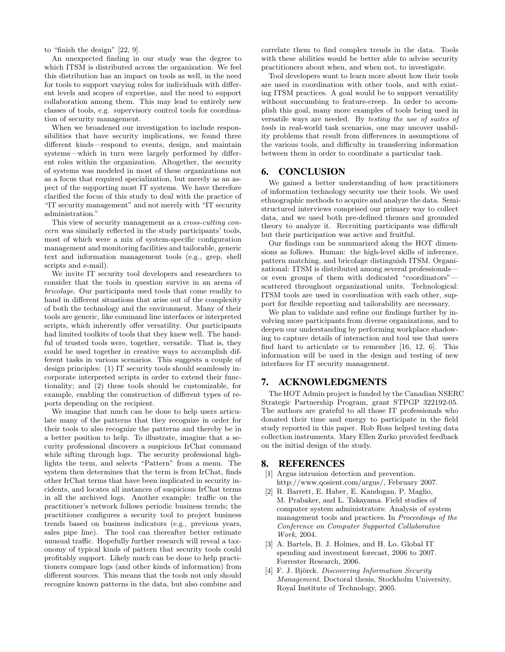to "finish the design" [\[22,](#page-10-18) [9\]](#page-10-19).

An unexpected finding in our study was the degree to which ITSM is distributed across the organization. We feel this distribution has an impact on tools as well, in the need for tools to support varying roles for individuals with different levels and scopes of expertise, and the need to support collaboration among them. This may lead to entirely new classes of tools, e.g. supervisory control tools for coordination of security management.

When we broadened our investigation to include responsibilities that have security implications, we found three different kinds—respond to events, design, and maintain systems—which in turn were largely performed by different roles within the organization. Altogether, the security of systems was modeled in most of these organizations not as a focus that required specialization, but merely as an aspect of the supporting most IT systems. We have therefore clarified the focus of this study to deal with the practice of "IT security management" and not merely with "IT security administration."

This view of security management as a *cross-cutting con*cern was similarly reflected in the study participants' tools, most of which were a mix of system-specific configuration management and monitoring facilities and tailorable, generic text and information management tools (e.g., grep, shell scripts and e-mail).

We invite IT security tool developers and researchers to consider that the tools in question survive in an arena of bricolage. Our participants used tools that come readily to hand in different situations that arise out of the complexity of both the technology and the environment. Many of their tools are generic, like command line interfaces or interpreted scripts, which inherently offer versatility. Our participants had limited toolkits of tools that they knew well. The handful of trusted tools were, together, versatile. That is, they could be used together in creative ways to accomplish different tasks in various scenarios. This suggests a couple of design principles: (1) IT security tools should seamlessly incorporate interpreted scripts in order to extend their functionality; and (2) these tools should be customizable, for example, enabling the construction of different types of reports depending on the recipient.

We imagine that much can be done to help users articulate many of the patterns that they recognize in order for their tools to also recognize the patterns and thereby be in a better position to help. To illustrate, imagine that a security professional discovers a suspicious IrChat command while sifting through logs. The security professional highlights the term, and selects "Pattern" from a menu. The system then determines that the term is from IrChat, finds other IrChat terms that have been implicated in security incidents, and locates all instances of suspicious IrChat terms in all the archived logs. Another example: traffic on the practitioner's network follows periodic business trends; the practitioner configures a security tool to project business trends based on business indicators (e.g., previous years, sales pipe line). The tool can thereafter better estimate unusual traffic. Hopefully further research will reveal a taxonomy of typical kinds of pattern that security tools could profitably support. Likely much can be done to help practitioners compare logs (and other kinds of information) from different sources. This means that the tools not only should recognize known patterns in the data, but also combine and

correlate them to find complex trends in the data. Tools with these abilities would be better able to advise security practitioners about when, and when not, to investigate.

Tool developers want to learn more about how their tools are used in coordination with other tools, and with existing ITSM practices. A goal would be to support versatility without succumbing to feature-creep. In order to accomplish this goal, many more examples of tools being used in versatile ways are needed. By testing the use of suites of tools in real-world task scenarios, one may uncover usability problems that result from differences in assumptions of the various tools, and difficulty in transferring information between them in order to coordinate a particular task.

# <span id="page-9-2"></span>6. CONCLUSION

We gained a better understanding of how practitioners of information technology security use their tools. We used ethnographic methods to acquire and analyze the data. Semistructured interviews comprised our primary way to collect data, and we used both pre-defined themes and grounded theory to analyze it. Recruiting participants was difficult but their participation was active and fruitful.

Our findings can be summarized along the HOT dimensions as follows. Human: the high-level skills of inference, pattern matching, and bricolage distinguish ITSM. Organizational: ITSM is distributed among several professionals or even groups of them with dedicated "coordinators" scattered throughout organizational units. Technological: ITSM tools are used in coordination with each other, support for flexible reporting and tailorability are necessary.

We plan to validate and refine our findings further by involving more participants from diverse organizations, and to deepen our understanding by performing workplace shadowing to capture details of interaction and tool use that users find hard to articulate or to remember [\[16,](#page-10-20) [12,](#page-10-21) [6\]](#page-10-9). This information will be used in the design and testing of new interfaces for IT security management.

# 7. ACKNOWLEDGMENTS

The HOT Admin project is funded by the Canadian NSERC Strategic Partnership Program, grant STPGP 322192-05. The authors are grateful to all those IT professionals who donated their time and energy to participate in the field study reported in this paper. Rob Ross helped testing data collection instruments. Mary Ellen Zurko provided feedback on the initial design of the study.

## 8. REFERENCES

- <span id="page-9-4"></span>[1] Argus intrusion detection and prevention. http://www.qosient.com/argus/, February 2007.
- <span id="page-9-3"></span>[2] R. Barrett, E. Haber, E. Kandogan, P. Maglio, M. Prabaker, and L. Takayama. Field studies of computer system administrators: Analysis of system management tools and practices. In Proceedings of the Conference on Computer Supported Collaborative Work, 2004.
- <span id="page-9-1"></span>[3] A. Bartels, B. J. Holmes, and H. Lo. Global IT spending and investment forecast, 2006 to 2007. Forrester Research, 2006.
- <span id="page-9-0"></span>[4] F. J. Björck. Discovering Information Security Management. Doctoral thesis, Stockholm University, Royal Institute of Technology, 2005.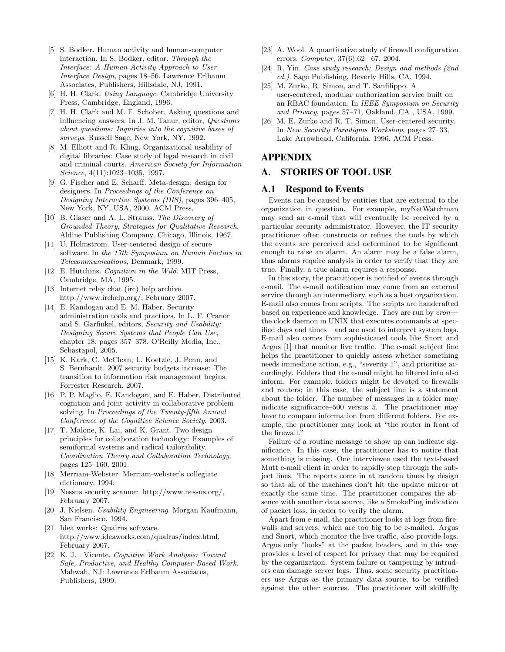- <span id="page-10-8"></span>[5] S. Bodker. Human activity and human-computer interaction. In S. Bodker, editor, Through the Interface: A Human Activity Approach to User Interface Design, pages 18–56. Lawrence Erlbaum Associates, Publishers, Hillsdale, NJ, 1991.
- <span id="page-10-9"></span>[6] H. H. Clark. Using Language. Cambridge University Press, Cambridge, England, 1996.
- <span id="page-10-11"></span>[7] H. H. Clark and M. F. Schober. Asking questions and influencing answers. In J. M. Tanur, editor, Questions about questions: Inquiries into the cognitive bases of surveys. Russell Sage, New York, NY, 1992.
- <span id="page-10-14"></span>[8] M. Elliott and R. Kling. Organizational usability of digital libraries: Case study of legal research in civil and criminal courts. American Society for Information Science, 4(11):1023–1035, 1997.
- <span id="page-10-19"></span>[9] G. Fischer and E. Scharff. Meta-design: design for designers. In Proceedings of the Conference on Designing Interactive Systems (DIS), pages 396–405, New York, NY, USA, 2000. ACM Press.
- <span id="page-10-4"></span>[10] B. Glaser and A. L. Strauss. The Discovery of Grounded Theory, Strategies for Qualitative Research. Aldine Publishing Company, Chicago, Illinois, 1967.
- <span id="page-10-2"></span>[11] U. Holmstrom. User-centered design of secure software. In the 17th Symposium on Human Factors in Telecommunications, Denmark, 1999.
- <span id="page-10-21"></span>[12] E. Hutchins. Cognition in the Wild. MIT Press, Cambridge, MA, 1995.
- <span id="page-10-22"></span>[13] Internet relay chat (irc) help archive. http://www.irchelp.org/, February 2007.
- <span id="page-10-0"></span>[14] E. Kandogan and E. M. Haber. Security administration tools and practices. In L. F. Cranor and S. Garfinkel, editors, Security and Usability: Designing Secure Systems that People Can Use, chapter 18, pages 357–378. O'Reilly Media, Inc., Sebastapol, 2005.
- <span id="page-10-3"></span>[15] K. Kark, C. McClean, L. Koetzle, J. Penn, and S. Bernhardt. 2007 security budgets increase: The transition to information risk management begins. Forrester Research, 2007.
- <span id="page-10-20"></span>[16] P. P. Maglio, E. Kandogan, and E. Haber. Distributed cognition and joint activity in collaborative problem solving. In Proceedings of the Twenty-fifth Annual Conference of the Cognitive Science Society, 2003.
- <span id="page-10-16"></span>[17] T. Malone, K. Lai, and K. Grant. Two design principles for collaboration technology: Examples of semiformal systems and radical tailorability. Coordination Theory and Collaboration Technology, pages 125–160, 2001.
- <span id="page-10-13"></span>[18] Merriam-Webster. Merriam-webster's collegiate dictionary, 1994.
- <span id="page-10-17"></span>[19] Nessus security scanner. http://www.nessus.org/, February 2007.
- <span id="page-10-15"></span>[20] J. Nielsen. Usability Engineering. Morgan Kaufmann, San Francisco, 1994.
- <span id="page-10-10"></span>[21] Idea works: Qualrus software. http://www.ideaworks.com/qualrus/index.html, February 2007.
- <span id="page-10-18"></span>[22] K. J. . Vicente. Cognitive Work Analysis: Toward Safe, Productive, and Healthy Computer-Based Work. Mahwah, NJ: Lawrence Erlbaum Associates, Publishers, 1999.
- <span id="page-10-6"></span>[23] A. Wool. A quantitative study of firewall configuration errors. Computer, 37(6):62– 67, 2004.
- <span id="page-10-5"></span>[24] R. Yin. Case study research: Design and methods (2nd ed.). Sage Publishing, Beverly Hills, CA, 1994.
- <span id="page-10-7"></span>[25] M. Zurko, R. Simon, and T. Sanfilippo. A user-centered, modular authorization service built on an RBAC foundation. In IEEE Symposium on Security and Privacy, pages 57–71, Oakland, CA , USA, 1999.
- <span id="page-10-1"></span>[26] M. E. Zurko and R. T. Simon. User-centered security. In New Security Paradigms Workshop, pages 27–33, Lake Arrowhead, California, 1996. ACM Press.

# APPENDIX

# <span id="page-10-12"></span>A. STORIES OF TOOL USE

# A.1 Respond to Events

Events can be caused by entities that are external to the organization in question. For example, myNetWatchman may send an e-mail that will eventually be received by a particular security administrator. However, the IT security practitioner often constructs or refines the tools by which the events are perceived and determined to be significant enough to raise an alarm. An alarm may be a false alarm, thus alarms require analysis in order to verify that they are true. Finally, a true alarm requires a response.

In this story, the practitioner is notified of events through e-mail. The e-mail notification may come from an external service through an intermediary, such as a host organization. E-mail also comes from scripts. The scripts are handcrafted based on experience and knowledge. They are run by cron the clock daemon in UNIX that executes commands at specified days and times—and are used to interpret system logs. E-mail also comes from sophisticated tools like Snort and Argus [\[1\]](#page-9-4) that monitor live traffic. The e-mail subject line helps the practitioner to quickly assess whether something needs immediate action, e.g., "severity 1", and prioritize accordingly. Folders that the e-mail might be filtered into also inform. For example, folders might be devoted to firewalls and routers; in this case, the subject line is a statement about the folder. The number of messages in a folder may indicate significance–500 versus 5. The practitioner may have to compare information from different folders. For example, the practitioner may look at "the router in front of the firewall."

Failure of a routine message to show up can indicate significance. In this case, the practitioner has to notice that something is missing. One interviewee used the text-based Mutt e-mail client in order to rapidly step through the subject lines. The reports come in at random times by design so that all of the machines don't hit the update mirror at exactly the same time. The practitioner compares the absence with another data source, like a SmokePing indication of packet loss, in order to verify the alarm.

Apart from e-mail, the practitioner looks at logs from firewalls and servers, which are too big to be e-mailed. Argus and Snort, which monitor the live traffic, also provide logs. Argus only "looks" at the packet headers, and in this way provides a level of respect for privacy that may be required by the organization. System failure or tampering by intruders can damage server logs. Thus, some security practitioners use Argus as the primary data source, to be verified against the other sources. The practitioner will skillfully